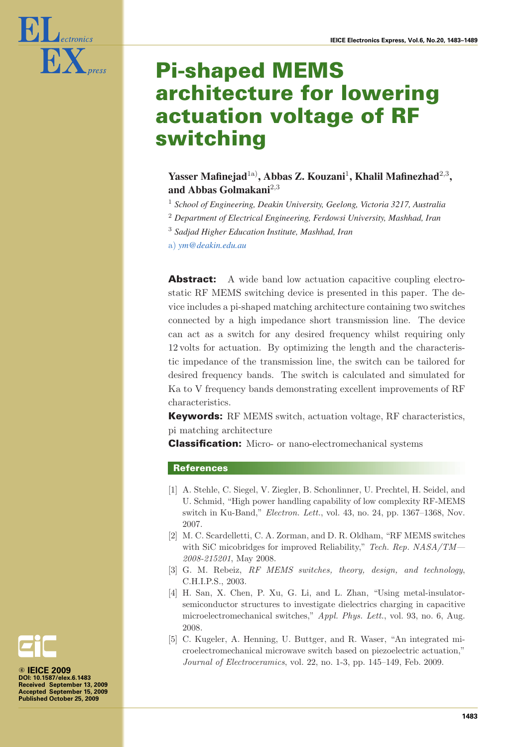

# **Pi-shaped MEMS architecture for lowering actuation voltage of RF switching**

# **Yasser Mafinejad**1a)**, Abbas Z. Kouzani**<sup>1</sup>**, Khalil Mafinezhad**<sup>2</sup>,<sup>3</sup>**, and Abbas Golmakani**<sup>2</sup>,<sup>3</sup>

- <sup>1</sup> *School of Engineering, Deakin University, Geelong, Victoria 3217, Australia*
- <sup>2</sup> *Department of Electrical Engineering, Ferdowsi University, Mashhad, Iran*
- <sup>3</sup> *Sadjad Higher Education Institute, Mashhad, Iran*
- a) *ym@deakin.edu.au*

**Abstract:** A wide band low actuation capacitive coupling electrostatic RF MEMS switching device is presented in this paper. The device includes a pi-shaped matching architecture containing two switches connected by a high impedance short transmission line. The device can act as a switch for any desired frequency whilst requiring only 12 volts for actuation. By optimizing the length and the characteristic impedance of the transmission line, the switch can be tailored for desired frequency bands. The switch is calculated and simulated for Ka to V frequency bands demonstrating excellent improvements of RF characteristics.

**Keywords:** RF MEMS switch, actuation voltage, RF characteristics, pi matching architecture

**Classification:** Micro- or nano-electromechanical systems

#### **References**

- [1] A. Stehle, C. Siegel, V. Ziegler, B. Schonlinner, U. Prechtel, H. Seidel, and U. Schmid, "High power handling capability of low complexity RF-MEMS switch in Ku-Band," *Electron. Lett.*, vol. 43, no. 24, pp. 1367–1368, Nov. 2007.
- [2] M. C. Scardelletti, C. A. Zorman, and D. R. Oldham, "RF MEMS switches with SiC micobridges for improved Reliability," *Tech. Rep. NASA/TM— 2008-215201*, May 2008.
- [3] G. M. Rebeiz, *RF MEMS switches, theory, design, and technology*, C.H.I.P.S., 2003.
- [4] H. San, X. Chen, P. Xu, G. Li, and L. Zhan, "Using metal-insulatorsemiconductor structures to investigate dielectrics charging in capacitive microelectromechanical switches," *Appl. Phys. Lett.*, vol. 93, no. 6, Aug. 2008.
- [5] C. Kugeler, A. Henning, U. Buttger, and R. Waser, "An integrated microelectromechanical microwave switch based on piezoelectric actuation," *Journal of Electroceramics*, vol. 22, no. 1-3, pp. 145–149, Feb. 2009.

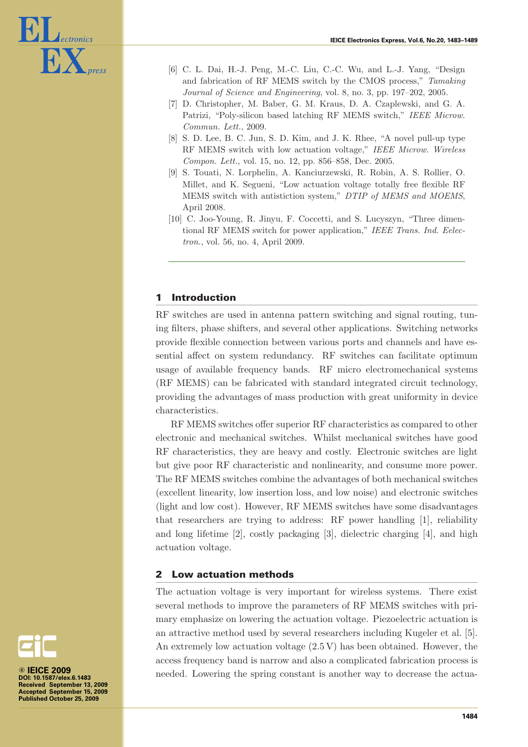

- [6] C. L. Dai, H.-J. Peng, M.-C. Liu, C.-C. Wu, and L.-J. Yang, "Design and fabrication of RF MEMS switch by the CMOS process," *Tamaking Journal of Science and Engineering*, vol. 8, no. 3, pp. 197–202, 2005.
- [7] D. Christopher, M. Baber, G. M. Kraus, D. A. Czaplewski, and G. A. Patrizi, "Poly-silicon based latching RF MEMS switch," *IEEE Microw. Commun. Lett.*, 2009.
- [8] S. D. Lee, B. C. Jun, S. D. Kim, and J. K. Rhee, "A novel pull-up type RF MEMS switch with low actuation voltage," *IEEE Microw. Wireless Compon. Lett.*, vol. 15, no. 12, pp. 856–858, Dec. 2005.
- [9] S. Touati, N. Lorphelin, A. Kanciurzewski, R. Robin, A. S. Rollier, O. Millet, and K. Segueni, "Low actuation voltage totally free flexible RF MEMS switch with antistiction system," *DTIP of MEMS and MOEMS*, April 2008.
- [10] C. Joo-Young, R. Jinyu, F. Coccetti, and S. Lucyszyn, "Three dimentional RF MEMS switch for power application," *IEEE Trans. Ind. Eelectron.*, vol. 56, no. 4, April 2009.

## **1 Introduction**

RF switches are used in antenna pattern switching and signal routing, tuning filters, phase shifters, and several other applications. Switching networks provide flexible connection between various ports and channels and have essential affect on system redundancy. RF switches can facilitate optimum usage of available frequency bands. RF micro electromechanical systems (RF MEMS) can be fabricated with standard integrated circuit technology, providing the advantages of mass production with great uniformity in device characteristics.

RF MEMS switches offer superior RF characteristics as compared to other electronic and mechanical switches. Whilst mechanical switches have good RF characteristics, they are heavy and costly. Electronic switches are light but give poor RF characteristic and nonlinearity, and consume more power. The RF MEMS switches combine the advantages of both mechanical switches (excellent linearity, low insertion loss, and low noise) and electronic switches (light and low cost). However, RF MEMS switches have some disadvantages that researchers are trying to address: RF power handling [1], reliability and long lifetime [2], costly packaging [3], dielectric charging [4], and high actuation voltage.

#### **2 Low actuation methods**

The actuation voltage is very important for wireless systems. There exist several methods to improve the parameters of RF MEMS switches with primary emphasize on lowering the actuation voltage. Piezoelectric actuation is an attractive method used by several researchers including Kugeler et al. [5]. An extremely low actuation voltage (2.5 V) has been obtained. However, the access frequency band is narrow and also a complicated fabrication process is needed. Lowering the spring constant is another way to decrease the actua-

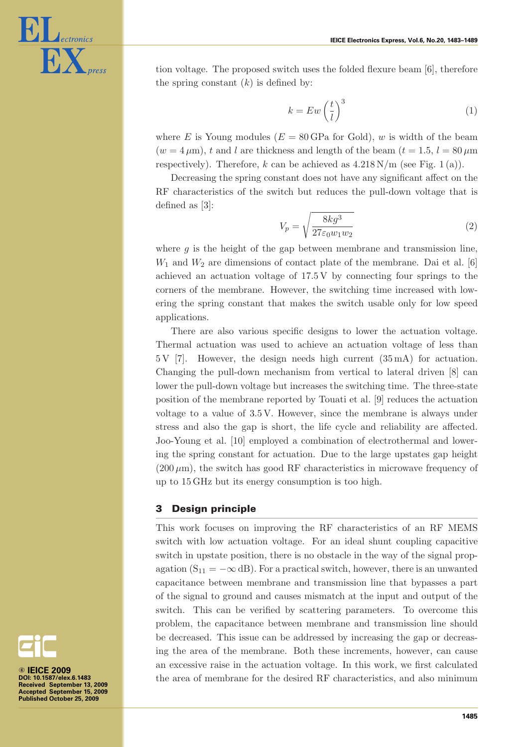

tion voltage. The proposed switch uses the folded flexure beam [6], therefore the spring constant  $(k)$  is defined by:

$$
k = Ew\left(\frac{t}{l}\right)^3\tag{1}
$$

where E is Young modules ( $E = 80$  GPa for Gold), w is width of the beam  $(w = 4 \,\mu\text{m})$ , t and l are thickness and length of the beam  $(t = 1.5, l = 80 \,\mu\text{m})$ respectively). Therefore, k can be achieved as  $4.218 \text{ N/m}$  (see Fig. 1(a)).

Decreasing the spring constant does not have any significant affect on the RF characteristics of the switch but reduces the pull-down voltage that is defined as [3]:

$$
V_p = \sqrt{\frac{8kg^3}{27\varepsilon_0 w_1 w_2}}\tag{2}
$$

where  $q$  is the height of the gap between membrane and transmission line,  $W_1$  and  $W_2$  are dimensions of contact plate of the membrane. Dai et al. [6] achieved an actuation voltage of 17.5 V by connecting four springs to the corners of the membrane. However, the switching time increased with lowering the spring constant that makes the switch usable only for low speed applications.

There are also various specific designs to lower the actuation voltage. Thermal actuation was used to achieve an actuation voltage of less than 5 V [7]. However, the design needs high current (35 mA) for actuation. Changing the pull-down mechanism from vertical to lateral driven [8] can lower the pull-down voltage but increases the switching time. The three-state position of the membrane reported by Touati et al. [9] reduces the actuation voltage to a value of 3.5 V. However, since the membrane is always under stress and also the gap is short, the life cycle and reliability are affected. Joo-Young et al. [10] employed a combination of electrothermal and lowering the spring constant for actuation. Due to the large upstates gap height  $(200 \,\mu\text{m})$ , the switch has good RF characteristics in microwave frequency of up to 15 GHz but its energy consumption is too high.

## **3 Design principle**

This work focuses on improving the RF characteristics of an RF MEMS switch with low actuation voltage. For an ideal shunt coupling capacitive switch in upstate position, there is no obstacle in the way of the signal propagation ( $S_{11} = -\infty$  dB). For a practical switch, however, there is an unwanted capacitance between membrane and transmission line that bypasses a part of the signal to ground and causes mismatch at the input and output of the switch. This can be verified by scattering parameters. To overcome this problem, the capacitance between membrane and transmission line should be decreased. This issue can be addressed by increasing the gap or decreasing the area of the membrane. Both these increments, however, can cause an excessive raise in the actuation voltage. In this work, we first calculated the area of membrane for the desired RF characteristics, and also minimum

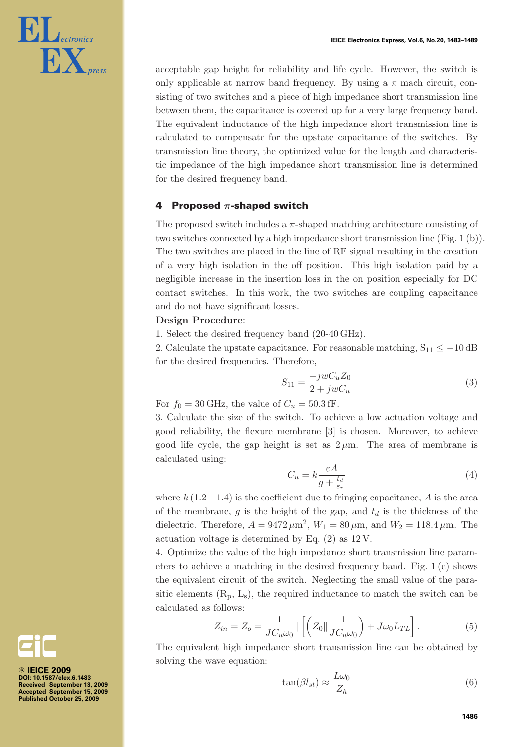

acceptable gap height for reliability and life cycle. However, the switch is only applicable at narrow band frequency. By using a  $\pi$  mach circuit, consisting of two switches and a piece of high impedance short transmission line between them, the capacitance is covered up for a very large frequency band. The equivalent inductance of the high impedance short transmission line is calculated to compensate for the upstate capacitance of the switches. By transmission line theory, the optimized value for the length and characteristic impedance of the high impedance short transmission line is determined for the desired frequency band.

## **4 Proposed** *π***-shaped switch**

The proposed switch includes a  $\pi$ -shaped matching architecture consisting of two switches connected by a high impedance short transmission line (Fig. 1 (b)). The two switches are placed in the line of RF signal resulting in the creation of a very high isolation in the off position. This high isolation paid by a negligible increase in the insertion loss in the on position especially for DC contact switches. In this work, the two switches are coupling capacitance and do not have significant losses.

#### **Design Procedure**:

1. Select the desired frequency band (20-40 GHz).

2. Calculate the upstate capacitance. For reasonable matching,  $S_{11} \le -10$  dB for the desired frequencies. Therefore,

$$
S_{11} = \frac{-jwC_u Z_0}{2 + jwC_u} \tag{3}
$$

For  $f_0 = 30 \text{ GHz}$ , the value of  $C_u = 50.3 \text{ ff}$ .

3. Calculate the size of the switch. To achieve a low actuation voltage and good reliability, the flexure membrane [3] is chosen. Moreover, to achieve good life cycle, the gap height is set as  $2 \mu$ m. The area of membrane is calculated using:

$$
C_u = k \frac{\varepsilon A}{g + \frac{t_d}{\varepsilon_r}} \tag{4}
$$

where  $k(1.2-1.4)$  is the coefficient due to fringing capacitance, A is the area of the membrane, g is the height of the gap, and  $t_d$  is the thickness of the dielectric. Therefore,  $A = 9472 \,\mu\text{m}^2$ ,  $W_1 = 80 \,\mu\text{m}$ , and  $W_2 = 118.4 \,\mu\text{m}$ . The actuation voltage is determined by Eq. (2) as 12 V.

4. Optimize the value of the high impedance short transmission line parameters to achieve a matching in the desired frequency band. Fig. 1 (c) shows the equivalent circuit of the switch. Neglecting the small value of the parasitic elements  $(R_p, L_s)$ , the required inductance to match the switch can be calculated as follows:

$$
Z_{in} = Z_o = \frac{1}{JC_u\omega_0} \|\left[ \left( Z_0 \|\frac{1}{JC_u\omega_0} \right) + J\omega_0 L_{TL} \right].
$$
 (5)

 $JC_u\omega_0$   $\lfloor \binom{3}{1}C_u\omega_0 \rfloor$ <br>The equivalent high impedance short transmission line can be obtained by solving the wave equation:

$$
\tan(\beta l_{st}) \approx \frac{L\omega_0}{Z_h} \tag{6}
$$

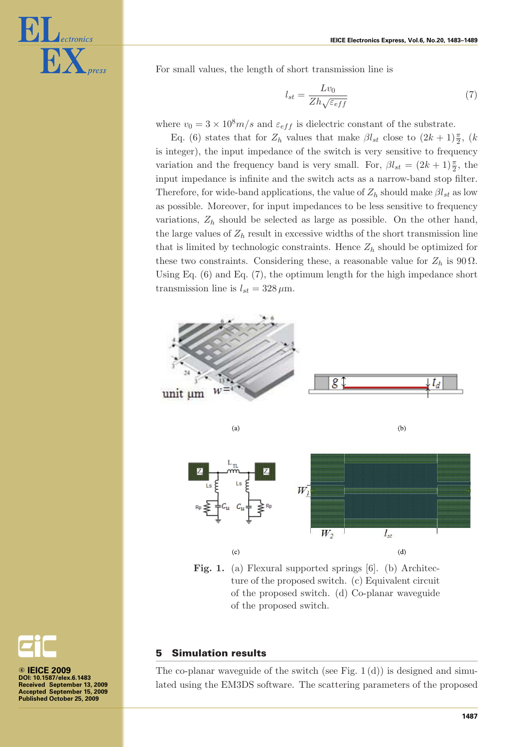

For small values, the length of short transmission line is

$$
l_{st} = \frac{Lv_0}{Zh\sqrt{\varepsilon_{eff}}}
$$
\n(7)

where  $v_0 = 3 \times 10^8 m/s$  and  $\varepsilon_{eff}$  is dielectric constant of the substrate.

Eq. (6) states that for  $Z_h$  values that make  $\beta l_{st}$  close to  $(2k+1)\frac{\pi}{2}$ ,  $(k+1)$ is integer), the input impedance of the switch is very sensitive to frequency variation and the frequency band is very small. For,  $\beta l_{st} = (2k+1)\frac{\pi}{2}$ , the input impedance is infinite and the switch acts as a narrow-band stop filter. Therefore, for wide-band applications, the value of  $Z_h$  should make  $\beta l_{st}$  as low as possible. Moreover, for input impedances to be less sensitive to frequency variations,  $Z_h$  should be selected as large as possible. On the other hand, the large values of  $Z_h$  result in excessive widths of the short transmission line that is limited by technologic constraints. Hence  $Z_h$  should be optimized for these two constraints. Considering these, a reasonable value for  $Z_h$  is 90  $\Omega$ . Using Eq. (6) and Eq. (7), the optimum length for the high impedance short transmission line is  $l_{st} = 328 \,\mu \mathrm{m}$ .



Fig. 1. (a) Flexural supported springs [6]. (b) Architecture of the proposed switch. (c) Equivalent circuit of the proposed switch. (d) Co-planar waveguide of the proposed switch.

#### **5 Simulation results**

The co-planar waveguide of the switch (see Fig.  $1(d)$ ) is designed and simulated using the EM3DS software. The scattering parameters of the proposed

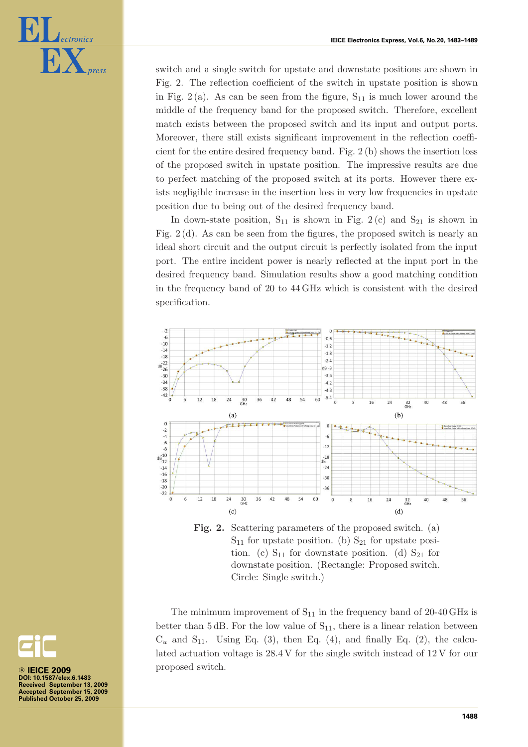

switch and a single switch for upstate and downstate positions are shown in Fig. 2. The reflection coefficient of the switch in upstate position is shown in Fig.  $2(a)$ . As can be seen from the figure,  $S_{11}$  is much lower around the middle of the frequency band for the proposed switch. Therefore, excellent match exists between the proposed switch and its input and output ports. Moreover, there still exists significant improvement in the reflection coefficient for the entire desired frequency band. Fig. 2 (b) shows the insertion loss of the proposed switch in upstate position. The impressive results are due to perfect matching of the proposed switch at its ports. However there exists negligible increase in the insertion loss in very low frequencies in upstate position due to being out of the desired frequency band.

In down-state position,  $S_{11}$  is shown in Fig. 2(c) and  $S_{21}$  is shown in Fig. 2 (d). As can be seen from the figures, the proposed switch is nearly an ideal short circuit and the output circuit is perfectly isolated from the input port. The entire incident power is nearly reflected at the input port in the desired frequency band. Simulation results show a good matching condition in the frequency band of 20 to 44 GHz which is consistent with the desired specification.



**Fig. 2.** Scattering parameters of the proposed switch. (a)  $S_{11}$  for upstate position. (b)  $S_{21}$  for upstate position. (c)  $S_{11}$  for downstate position. (d)  $S_{21}$  for downstate position. (Rectangle: Proposed switch. Circle: Single switch.)

The minimum improvement of  $S_{11}$  in the frequency band of 20-40 GHz is better than 5 dB. For the low value of  $S_{11}$ , there is a linear relation between  $C_u$  and  $S_{11}$ . Using Eq. (3), then Eq. (4), and finally Eq. (2), the calculated actuation voltage is 28.4 V for the single switch instead of 12 V for our proposed switch.